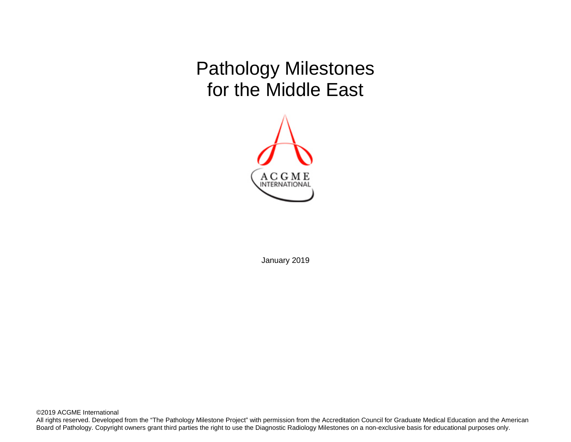Pathology Milestones for the Middle East



January 2019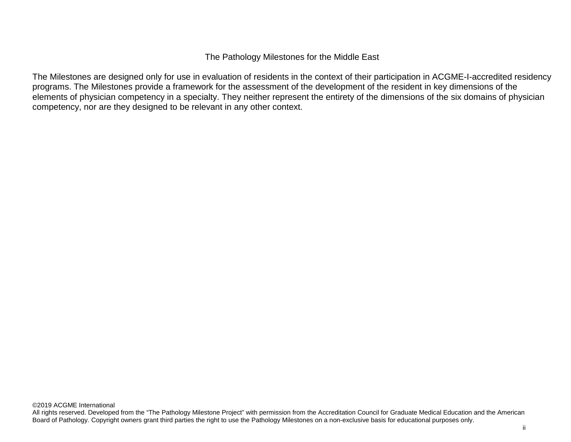The Milestones are designed only for use in evaluation of residents in the context of their participation in ACGME-I-accredited residency programs. The Milestones provide a framework for the assessment of the development of the resident in key dimensions of the elements of physician competency in a specialty. They neither represent the entirety of the dimensions of the six domains of physician competency, nor are they designed to be relevant in any other context.

All rights reserved. Developed from the "The Pathology Milestone Project" with permission from the Accreditation Council for Graduate Medical Education and the American Board of Pathology. Copyright owners grant third parties the right to use the Pathology Milestones on a non-exclusive basis for educational purposes only.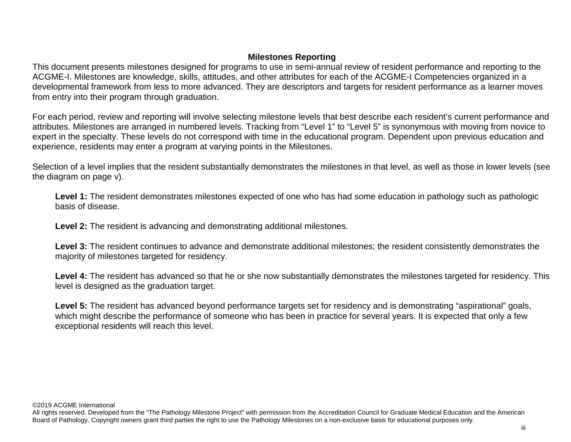# **Milestones Reporting**

This document presents milestones designed for programs to use in semi-annual review of resident performance and reporting to the ACGME-I. Milestones are knowledge, skills, attitudes, and other attributes for each of the ACGME-I Competencies organized in a developmental framework from less to more advanced. They are descriptors and targets for resident performance as a learner moves from entry into their program through graduation.

For each period, review and reporting will involve selecting milestone levels that best describe each resident's current performance and attributes. Milestones are arranged in numbered levels. Tracking from "Level 1" to "Level 5" is synonymous with moving from novice to expert in the specialty. These levels do not correspond with time in the educational program. Dependent upon previous education and experience, residents may enter a program at varying points in the Milestones.

Selection of a level implies that the resident substantially demonstrates the milestones in that level, as well as those in lower levels (see the diagram on page v).

Level 1: The resident demonstrates milestones expected of one who has had some education in pathology such as pathologic basis of disease.

**Level 2:** The resident is advancing and demonstrating additional milestones.

**Level 3:** The resident continues to advance and demonstrate additional milestones; the resident consistently demonstrates the majority of milestones targeted for residency.

Level 4: The resident has advanced so that he or she now substantially demonstrates the milestones targeted for residency. This level is designed as the graduation target.

Level 5: The resident has advanced beyond performance targets set for residency and is demonstrating "aspirational" goals, which might describe the performance of someone who has been in practice for several years. It is expected that only a few exceptional residents will reach this level.

©2019 ACGME International

All rights reserved. Developed from the "The Pathology Milestone Project" with permission from the Accreditation Council for Graduate Medical Education and the American Board of Pathology. Copyright owners grant third parties the right to use the Pathology Milestones on a non-exclusive basis for educational purposes only.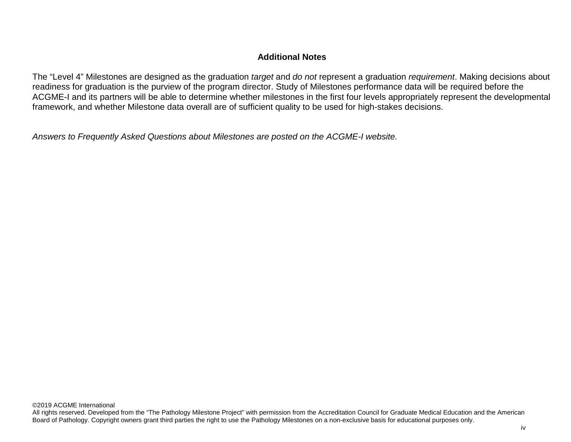## **Additional Notes**

The "Level 4" Milestones are designed as the graduation *target* and *do not* represent a graduation *requirement*. Making decisions about readiness for graduation is the purview of the program director. Study of Milestones performance data will be required before the ACGME-I and its partners will be able to determine whether milestones in the first four levels appropriately represent the developmental framework, and whether Milestone data overall are of sufficient quality to be used for high-stakes decisions.

*Answers to Frequently Asked Questions about Milestones are posted on the ACGME-I website.*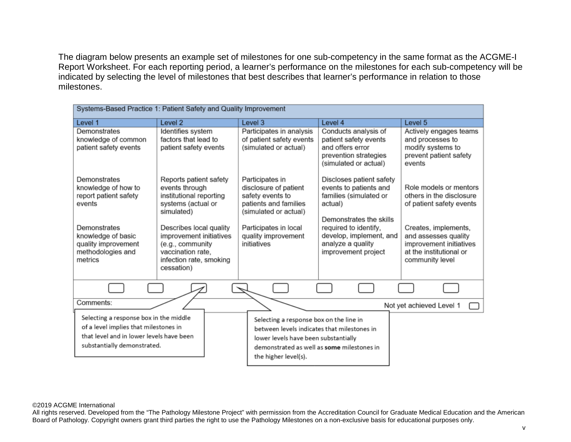The diagram below presents an example set of milestones for one sub-competency in the same format as the ACGME-I Report Worksheet. For each reporting period, a learner's performance on the milestones for each sub-competency will be indicated by selecting the level of milestones that best describes that learner's performance in relation to those milestones.

| Systems-Based Practice 1: Patient Safety and Quality Improvement                                                                                                    |                                                                                                                                                                                                                                                 |                                                                                                                                                                                                      |                                                                                                                                                                                                                    |                                                                                                                                                                                                         |
|---------------------------------------------------------------------------------------------------------------------------------------------------------------------|-------------------------------------------------------------------------------------------------------------------------------------------------------------------------------------------------------------------------------------------------|------------------------------------------------------------------------------------------------------------------------------------------------------------------------------------------------------|--------------------------------------------------------------------------------------------------------------------------------------------------------------------------------------------------------------------|---------------------------------------------------------------------------------------------------------------------------------------------------------------------------------------------------------|
| Level 1                                                                                                                                                             | Level <sub>2</sub>                                                                                                                                                                                                                              | Level 3                                                                                                                                                                                              | Level 4                                                                                                                                                                                                            | Level <sub>5</sub>                                                                                                                                                                                      |
| Demonstrates<br>knowledge of common<br>patient safety events                                                                                                        | Identifies system<br>factors that lead to<br>patient safety events                                                                                                                                                                              | Participates in analysis<br>of patient safety events<br>(simulated or actual)                                                                                                                        | Conducts analysis of<br>patient safety events<br>and offers error<br>prevention strategies<br>(simulated or actual)                                                                                                | Actively engages teams<br>and processes to<br>modify systems to<br>prevent patient safety<br>events                                                                                                     |
| Demonstrates<br>knowledge of how to<br>report patient safety<br>events<br>Demonstrates<br>knowledge of basic<br>quality improvement<br>methodologies and<br>metrics | Reports patient safety<br>events through<br>institutional reporting<br>systems (actual or<br>simulated)<br>Describes local quality<br>improvement initiatives<br>(e.g., community<br>vaccination rate,<br>infection rate, smoking<br>cessation) | Participates in<br>disclosure of patient<br>safety events to<br>patients and families<br>(simulated or actual)<br>Participates in local<br>quality improvement<br>initiatives                        | Discloses patient safety<br>events to patients and<br>families (simulated or<br>actual)<br>Demonstrates the skills<br>required to identify,<br>develop, implement, and<br>analyze a quality<br>improvement project | Role models or mentors<br>others in the disclosure<br>of patient safety events<br>Creates, implements,<br>and assesses quality<br>improvement initiatives<br>at the institutional or<br>community level |
|                                                                                                                                                                     |                                                                                                                                                                                                                                                 |                                                                                                                                                                                                      |                                                                                                                                                                                                                    |                                                                                                                                                                                                         |
| Comments:                                                                                                                                                           |                                                                                                                                                                                                                                                 |                                                                                                                                                                                                      |                                                                                                                                                                                                                    | Not yet achieved Level 1                                                                                                                                                                                |
| Selecting a response box in the middle<br>of a level implies that milestones in<br>that level and in lower levels have been<br>substantially demonstrated.          |                                                                                                                                                                                                                                                 | Selecting a response box on the line in<br>between levels indicates that milestones in<br>lower levels have been substantially<br>demonstrated as well as some milestones in<br>the higher level(s). |                                                                                                                                                                                                                    |                                                                                                                                                                                                         |

©2019 ACGME International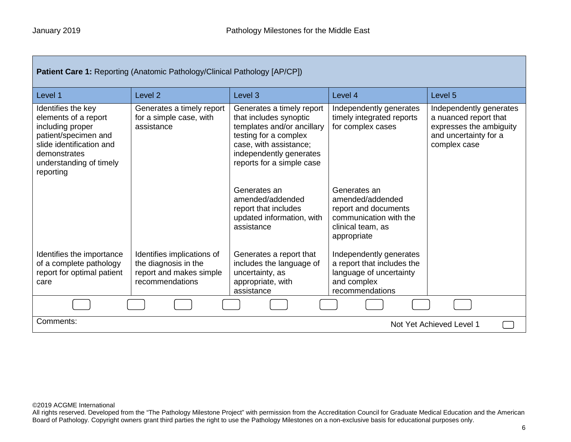| Patient Care 1: Reporting (Anatomic Pathology/Clinical Pathology [AP/CP])                                                                                                  |                                                                                                  |                                                                                                                                                                                              |                                                                                                                        |                                                                                                                      |
|----------------------------------------------------------------------------------------------------------------------------------------------------------------------------|--------------------------------------------------------------------------------------------------|----------------------------------------------------------------------------------------------------------------------------------------------------------------------------------------------|------------------------------------------------------------------------------------------------------------------------|----------------------------------------------------------------------------------------------------------------------|
| Level 1                                                                                                                                                                    | Level <sub>2</sub>                                                                               | Level <sub>3</sub>                                                                                                                                                                           | Level 4                                                                                                                | Level 5                                                                                                              |
| Identifies the key<br>elements of a report<br>including proper<br>patient/specimen and<br>slide identification and<br>demonstrates<br>understanding of timely<br>reporting | Generates a timely report<br>for a simple case, with<br>assistance                               | Generates a timely report<br>that includes synoptic<br>templates and/or ancillary<br>testing for a complex<br>case, with assistance;<br>independently generates<br>reports for a simple case | Independently generates<br>timely integrated reports<br>for complex cases                                              | Independently generates<br>a nuanced report that<br>expresses the ambiguity<br>and uncertainty for a<br>complex case |
|                                                                                                                                                                            |                                                                                                  | Generates an<br>amended/addended<br>report that includes<br>updated information, with<br>assistance                                                                                          | Generates an<br>amended/addended<br>report and documents<br>communication with the<br>clinical team, as<br>appropriate |                                                                                                                      |
| Identifies the importance<br>of a complete pathology<br>report for optimal patient<br>care                                                                                 | Identifies implications of<br>the diagnosis in the<br>report and makes simple<br>recommendations | Generates a report that<br>includes the language of<br>uncertainty, as<br>appropriate, with<br>assistance                                                                                    | Independently generates<br>a report that includes the<br>language of uncertainty<br>and complex<br>recommendations     |                                                                                                                      |
|                                                                                                                                                                            |                                                                                                  |                                                                                                                                                                                              |                                                                                                                        |                                                                                                                      |
| Comments:<br>Not Yet Achieved Level 1                                                                                                                                      |                                                                                                  |                                                                                                                                                                                              |                                                                                                                        |                                                                                                                      |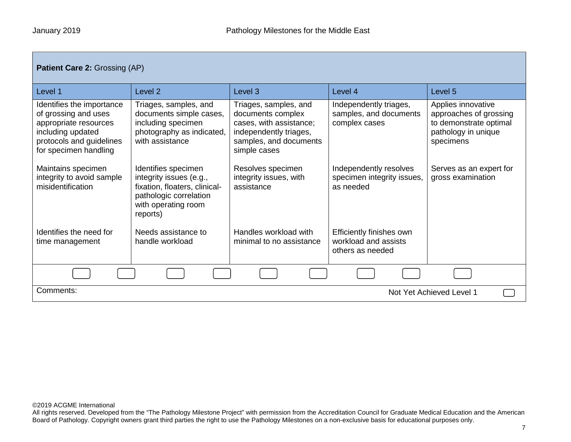| <b>Patient Care 2: Grossing (AP)</b>                                                                                                                 |                                                                                                                                              |                                                                                                                                           |                                                                      |                                                                                                            |
|------------------------------------------------------------------------------------------------------------------------------------------------------|----------------------------------------------------------------------------------------------------------------------------------------------|-------------------------------------------------------------------------------------------------------------------------------------------|----------------------------------------------------------------------|------------------------------------------------------------------------------------------------------------|
| Level 1                                                                                                                                              | Level <sub>2</sub>                                                                                                                           | Level <sub>3</sub>                                                                                                                        | Level 4                                                              | Level 5                                                                                                    |
| Identifies the importance<br>of grossing and uses<br>appropriate resources<br>including updated<br>protocols and guidelines<br>for specimen handling | Triages, samples, and<br>documents simple cases,<br>including specimen<br>photography as indicated,<br>with assistance                       | Triages, samples, and<br>documents complex<br>cases, with assistance;<br>independently triages,<br>samples, and documents<br>simple cases | Independently triages,<br>samples, and documents<br>complex cases    | Applies innovative<br>approaches of grossing<br>to demonstrate optimal<br>pathology in unique<br>specimens |
| Maintains specimen<br>integrity to avoid sample<br>misidentification                                                                                 | Identifies specimen<br>integrity issues (e.g.,<br>fixation, floaters, clinical-<br>pathologic correlation<br>with operating room<br>reports) | Resolves specimen<br>integrity issues, with<br>assistance                                                                                 | Independently resolves<br>specimen integrity issues,<br>as needed    | Serves as an expert for<br>gross examination                                                               |
| Identifies the need for<br>time management                                                                                                           | Needs assistance to<br>handle workload                                                                                                       | Handles workload with<br>minimal to no assistance                                                                                         | Efficiently finishes own<br>workload and assists<br>others as needed |                                                                                                            |
|                                                                                                                                                      |                                                                                                                                              |                                                                                                                                           |                                                                      |                                                                                                            |
| Comments:<br>Not Yet Achieved Level 1                                                                                                                |                                                                                                                                              |                                                                                                                                           |                                                                      |                                                                                                            |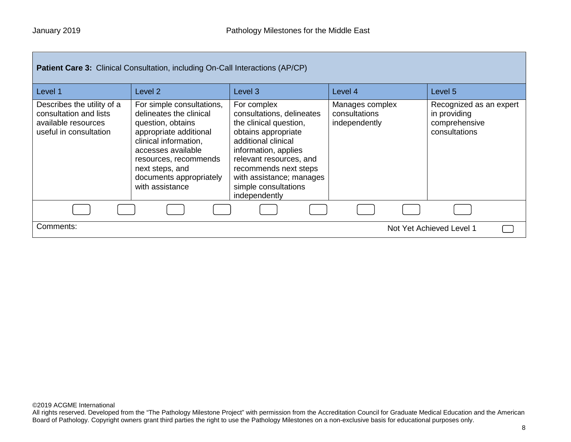| <b>Patient Care 3:</b> Clinical Consultation, including On-Call Interactions (AP/CP)                  |                                                                                                                                                                                                                                              |                                                                                                                                                                                                                                                                   |                                                   |                                                                           |
|-------------------------------------------------------------------------------------------------------|----------------------------------------------------------------------------------------------------------------------------------------------------------------------------------------------------------------------------------------------|-------------------------------------------------------------------------------------------------------------------------------------------------------------------------------------------------------------------------------------------------------------------|---------------------------------------------------|---------------------------------------------------------------------------|
| Level 1                                                                                               | Level 2                                                                                                                                                                                                                                      | Level 3                                                                                                                                                                                                                                                           | Level 4                                           | Level 5                                                                   |
| Describes the utility of a<br>consultation and lists<br>available resources<br>useful in consultation | For simple consultations,<br>delineates the clinical<br>question, obtains<br>appropriate additional<br>clinical information,<br>accesses available<br>resources, recommends<br>next steps, and<br>documents appropriately<br>with assistance | For complex<br>consultations, delineates<br>the clinical question,<br>obtains appropriate<br>additional clinical<br>information, applies<br>relevant resources, and<br>recommends next steps<br>with assistance; manages<br>simple consultations<br>independently | Manages complex<br>consultations<br>independently | Recognized as an expert<br>in providing<br>comprehensive<br>consultations |
|                                                                                                       |                                                                                                                                                                                                                                              |                                                                                                                                                                                                                                                                   |                                                   |                                                                           |
| Comments:                                                                                             |                                                                                                                                                                                                                                              |                                                                                                                                                                                                                                                                   |                                                   | Not Yet Achieved Level 1                                                  |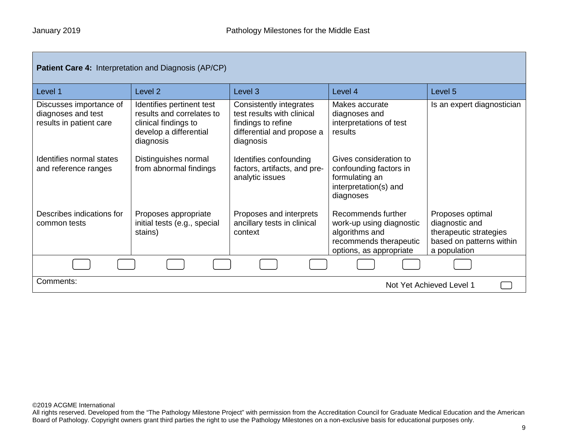| <b>Patient Care 4: Interpretation and Diagnosis (AP/CP)</b>              |                                                                                                                       |                                                                                                                        |                                                                                                                       |                                                                                                          |
|--------------------------------------------------------------------------|-----------------------------------------------------------------------------------------------------------------------|------------------------------------------------------------------------------------------------------------------------|-----------------------------------------------------------------------------------------------------------------------|----------------------------------------------------------------------------------------------------------|
| Level 1                                                                  | Level 2                                                                                                               | Level 3                                                                                                                | Level 4                                                                                                               | Level 5                                                                                                  |
| Discusses importance of<br>diagnoses and test<br>results in patient care | Identifies pertinent test<br>results and correlates to<br>clinical findings to<br>develop a differential<br>diagnosis | Consistently integrates<br>test results with clinical<br>findings to refine<br>differential and propose a<br>diagnosis | Makes accurate<br>diagnoses and<br>interpretations of test<br>results                                                 | Is an expert diagnostician                                                                               |
| Identifies normal states<br>and reference ranges                         | Distinguishes normal<br>from abnormal findings                                                                        | Identifies confounding<br>factors, artifacts, and pre-<br>analytic issues                                              | Gives consideration to<br>confounding factors in<br>formulating an<br>interpretation(s) and<br>diagnoses              |                                                                                                          |
| Describes indications for<br>common tests                                | Proposes appropriate<br>initial tests (e.g., special<br>stains)                                                       | Proposes and interprets<br>ancillary tests in clinical<br>context                                                      | Recommends further<br>work-up using diagnostic<br>algorithms and<br>recommends therapeutic<br>options, as appropriate | Proposes optimal<br>diagnostic and<br>therapeutic strategies<br>based on patterns within<br>a population |
|                                                                          |                                                                                                                       |                                                                                                                        |                                                                                                                       |                                                                                                          |
| Comments:<br>Not Yet Achieved Level 1                                    |                                                                                                                       |                                                                                                                        |                                                                                                                       |                                                                                                          |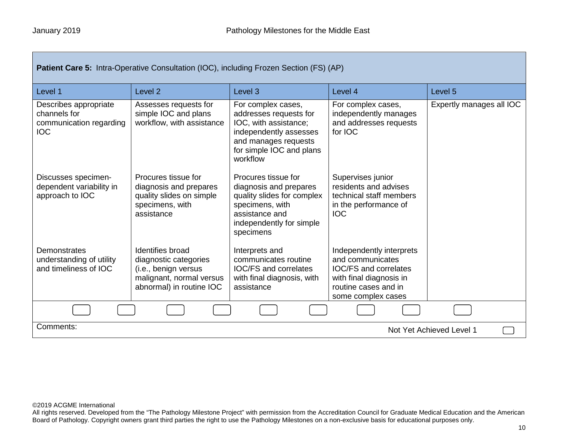| <b>Patient Care 5: Intra-Operative Consultation (IOC), including Frozen Section (FS) (AP)</b> |                                                                                                                           |                                                                                                                                                                 |                                                                                                                                                |                          |
|-----------------------------------------------------------------------------------------------|---------------------------------------------------------------------------------------------------------------------------|-----------------------------------------------------------------------------------------------------------------------------------------------------------------|------------------------------------------------------------------------------------------------------------------------------------------------|--------------------------|
| Level 1                                                                                       | Level <sub>2</sub>                                                                                                        | Level <sub>3</sub>                                                                                                                                              | Level 4                                                                                                                                        | Level 5                  |
| Describes appropriate<br>channels for<br>communication regarding<br><b>IOC</b>                | Assesses requests for<br>simple IOC and plans<br>workflow, with assistance                                                | For complex cases,<br>addresses requests for<br>IOC, with assistance;<br>independently assesses<br>and manages requests<br>for simple IOC and plans<br>workflow | For complex cases,<br>independently manages<br>and addresses requests<br>for IOC                                                               | Expertly manages all IOC |
| Discusses specimen-<br>dependent variability in<br>approach to IOC                            | Procures tissue for<br>diagnosis and prepares<br>quality slides on simple<br>specimens, with<br>assistance                | Procures tissue for<br>diagnosis and prepares<br>quality slides for complex<br>specimens, with<br>assistance and<br>independently for simple<br>specimens       | Supervises junior<br>residents and advises<br>technical staff members<br>in the performance of<br><b>IOC</b>                                   |                          |
| <b>Demonstrates</b><br>understanding of utility<br>and timeliness of IOC                      | Identifies broad<br>diagnostic categories<br>(i.e., benign versus<br>malignant, normal versus<br>abnormal) in routine IOC | Interprets and<br>communicates routine<br><b>IOC/FS and correlates</b><br>with final diagnosis, with<br>assistance                                              | Independently interprets<br>and communicates<br>IOC/FS and correlates<br>with final diagnosis in<br>routine cases and in<br>some complex cases |                          |
|                                                                                               |                                                                                                                           |                                                                                                                                                                 |                                                                                                                                                |                          |
| Comments:<br>Not Yet Achieved Level 1                                                         |                                                                                                                           |                                                                                                                                                                 |                                                                                                                                                |                          |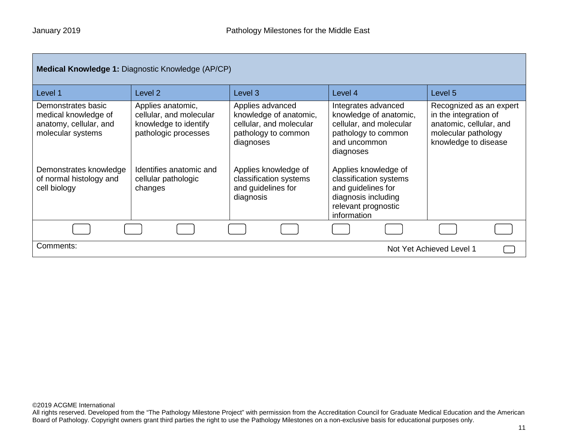|                                                                                           | <b>Medical Knowledge 1: Diagnostic Knowledge (AP/CP)</b>                                      |                                                                                                           |                                                                                                                                   |                                                                                                                            |
|-------------------------------------------------------------------------------------------|-----------------------------------------------------------------------------------------------|-----------------------------------------------------------------------------------------------------------|-----------------------------------------------------------------------------------------------------------------------------------|----------------------------------------------------------------------------------------------------------------------------|
| Level 1                                                                                   | Level 2                                                                                       | Level <sub>3</sub>                                                                                        | Level 4                                                                                                                           | Level 5                                                                                                                    |
| Demonstrates basic<br>medical knowledge of<br>anatomy, cellular, and<br>molecular systems | Applies anatomic,<br>cellular, and molecular<br>knowledge to identify<br>pathologic processes | Applies advanced<br>knowledge of anatomic,<br>cellular, and molecular<br>pathology to common<br>diagnoses | Integrates advanced<br>knowledge of anatomic,<br>cellular, and molecular<br>pathology to common<br>and uncommon<br>diagnoses      | Recognized as an expert<br>in the integration of<br>anatomic, cellular, and<br>molecular pathology<br>knowledge to disease |
| Demonstrates knowledge<br>of normal histology and<br>cell biology                         | Identifies anatomic and<br>cellular pathologic<br>changes                                     | Applies knowledge of<br>classification systems<br>and guidelines for<br>diagnosis                         | Applies knowledge of<br>classification systems<br>and guidelines for<br>diagnosis including<br>relevant prognostic<br>information |                                                                                                                            |
|                                                                                           |                                                                                               |                                                                                                           |                                                                                                                                   |                                                                                                                            |
| Comments:                                                                                 |                                                                                               |                                                                                                           |                                                                                                                                   | Not Yet Achieved Level 1                                                                                                   |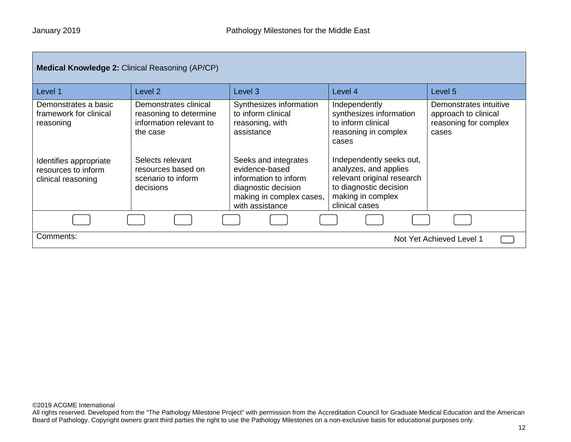| <b>Medical Knowledge 2: Clinical Reasoning (AP/CP)</b>              |                                                                                        |                                                                                                                                       |                                                                                                                                                  |                                                                                  |
|---------------------------------------------------------------------|----------------------------------------------------------------------------------------|---------------------------------------------------------------------------------------------------------------------------------------|--------------------------------------------------------------------------------------------------------------------------------------------------|----------------------------------------------------------------------------------|
| Level 1                                                             | Level <sub>2</sub>                                                                     | Level <sub>3</sub>                                                                                                                    | Level 4                                                                                                                                          | Level 5                                                                          |
| Demonstrates a basic<br>framework for clinical<br>reasoning         | Demonstrates clinical<br>reasoning to determine<br>information relevant to<br>the case | Synthesizes information<br>to inform clinical<br>reasoning, with<br>assistance                                                        | Independently<br>synthesizes information<br>to inform clinical<br>reasoning in complex<br>cases                                                  | Demonstrates intuitive<br>approach to clinical<br>reasoning for complex<br>cases |
| Identifies appropriate<br>resources to inform<br>clinical reasoning | Selects relevant<br>resources based on<br>scenario to inform<br>decisions              | Seeks and integrates<br>evidence-based<br>information to inform<br>diagnostic decision<br>making in complex cases,<br>with assistance | Independently seeks out,<br>analyzes, and applies<br>relevant original research<br>to diagnostic decision<br>making in complex<br>clinical cases |                                                                                  |
|                                                                     |                                                                                        |                                                                                                                                       |                                                                                                                                                  |                                                                                  |
| Comments:                                                           |                                                                                        |                                                                                                                                       |                                                                                                                                                  | Not Yet Achieved Level 1                                                         |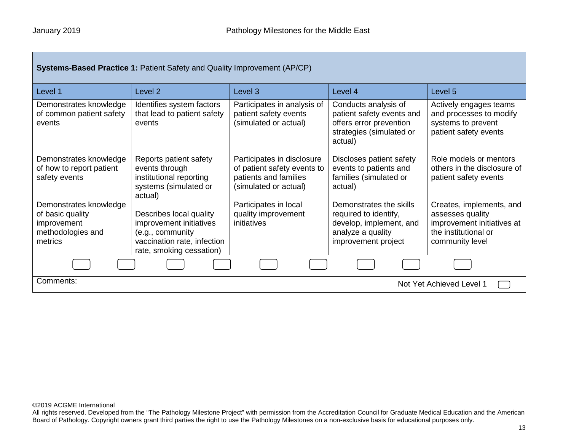| <b>Systems-Based Practice 1: Patient Safety and Quality Improvement (AP/CP)</b>           |                                                                                                                                   |                                                                                                             |                                                                                                                         |                                                                                                                       |
|-------------------------------------------------------------------------------------------|-----------------------------------------------------------------------------------------------------------------------------------|-------------------------------------------------------------------------------------------------------------|-------------------------------------------------------------------------------------------------------------------------|-----------------------------------------------------------------------------------------------------------------------|
| Level 1                                                                                   | Level 2                                                                                                                           | Level <sub>3</sub>                                                                                          | Level 4                                                                                                                 | Level 5                                                                                                               |
| Demonstrates knowledge<br>of common patient safety<br>events                              | Identifies system factors<br>that lead to patient safety<br>events                                                                | Participates in analysis of<br>patient safety events<br>(simulated or actual)                               | Conducts analysis of<br>patient safety events and<br>offers error prevention<br>strategies (simulated or<br>actual)     | Actively engages teams<br>and processes to modify<br>systems to prevent<br>patient safety events                      |
| Demonstrates knowledge<br>of how to report patient<br>safety events                       | Reports patient safety<br>events through<br>institutional reporting<br>systems (simulated or<br>actual)                           | Participates in disclosure<br>of patient safety events to<br>patients and families<br>(simulated or actual) | Discloses patient safety<br>events to patients and<br>families (simulated or<br>actual)                                 | Role models or mentors<br>others in the disclosure of<br>patient safety events                                        |
| Demonstrates knowledge<br>of basic quality<br>improvement<br>methodologies and<br>metrics | Describes local quality<br>improvement initiatives<br>(e.g., community<br>vaccination rate, infection<br>rate, smoking cessation) | Participates in local<br>quality improvement<br>initiatives                                                 | Demonstrates the skills<br>required to identify,<br>develop, implement, and<br>analyze a quality<br>improvement project | Creates, implements, and<br>assesses quality<br>improvement initiatives at<br>the institutional or<br>community level |
|                                                                                           |                                                                                                                                   |                                                                                                             |                                                                                                                         |                                                                                                                       |
| Comments:<br>Not Yet Achieved Level 1                                                     |                                                                                                                                   |                                                                                                             |                                                                                                                         |                                                                                                                       |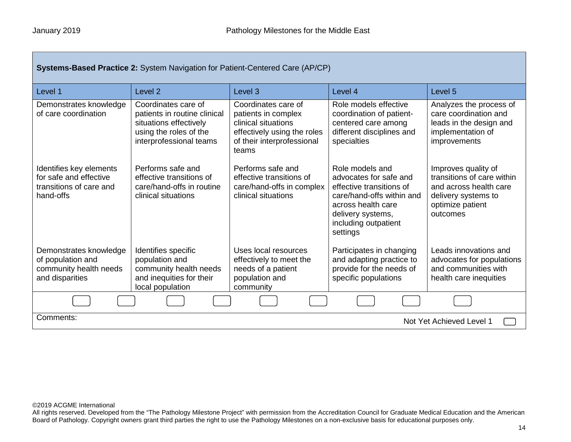| <b>Systems-Based Practice 2: System Navigation for Patient-Centered Care (AP/CP)</b>      |                                                                                                                                    |                                                                                                                                         |                                                                                                                                                                                   |                                                                                                                                    |  |
|-------------------------------------------------------------------------------------------|------------------------------------------------------------------------------------------------------------------------------------|-----------------------------------------------------------------------------------------------------------------------------------------|-----------------------------------------------------------------------------------------------------------------------------------------------------------------------------------|------------------------------------------------------------------------------------------------------------------------------------|--|
| Level 1                                                                                   | Level <sub>2</sub>                                                                                                                 | Level <sub>3</sub>                                                                                                                      | Level 4                                                                                                                                                                           | Level 5                                                                                                                            |  |
| Demonstrates knowledge<br>of care coordination                                            | Coordinates care of<br>patients in routine clinical<br>situations effectively<br>using the roles of the<br>interprofessional teams | Coordinates care of<br>patients in complex<br>clinical situations<br>effectively using the roles<br>of their interprofessional<br>teams | Role models effective<br>coordination of patient-<br>centered care among<br>different disciplines and<br>specialties                                                              | Analyzes the process of<br>care coordination and<br>leads in the design and<br>implementation of<br>improvements                   |  |
| Identifies key elements<br>for safe and effective<br>transitions of care and<br>hand-offs | Performs safe and<br>effective transitions of<br>care/hand-offs in routine<br>clinical situations                                  | Performs safe and<br>effective transitions of<br>care/hand-offs in complex<br>clinical situations                                       | Role models and<br>advocates for safe and<br>effective transitions of<br>care/hand-offs within and<br>across health care<br>delivery systems,<br>including outpatient<br>settings | Improves quality of<br>transitions of care within<br>and across health care<br>delivery systems to<br>optimize patient<br>outcomes |  |
| Demonstrates knowledge<br>of population and<br>community health needs<br>and disparities  | Identifies specific<br>population and<br>community health needs<br>and inequities for their<br>local population                    | Uses local resources<br>effectively to meet the<br>needs of a patient<br>population and<br>community                                    | Participates in changing<br>and adapting practice to<br>provide for the needs of<br>specific populations                                                                          | Leads innovations and<br>advocates for populations<br>and communities with<br>health care inequities                               |  |
|                                                                                           |                                                                                                                                    |                                                                                                                                         |                                                                                                                                                                                   |                                                                                                                                    |  |
| Comments:<br>Not Yet Achieved Level 1                                                     |                                                                                                                                    |                                                                                                                                         |                                                                                                                                                                                   |                                                                                                                                    |  |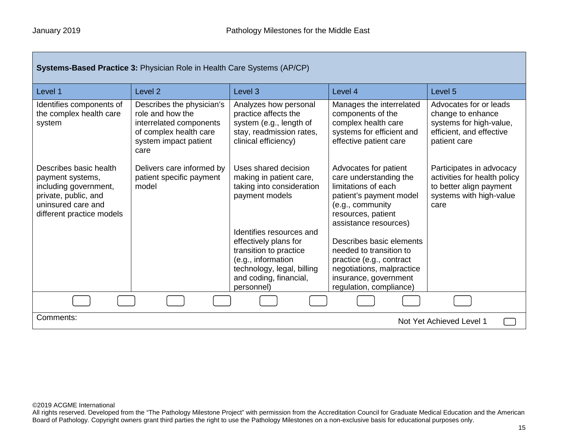| <b>Systems-Based Practice 3: Physician Role in Health Care Systems (AP/CP)</b>                                                                 |                                                                                                                                     |                                                                                                                                             |                                                                                                                                                                      |                                                                                                                        |
|------------------------------------------------------------------------------------------------------------------------------------------------|-------------------------------------------------------------------------------------------------------------------------------------|---------------------------------------------------------------------------------------------------------------------------------------------|----------------------------------------------------------------------------------------------------------------------------------------------------------------------|------------------------------------------------------------------------------------------------------------------------|
| Level 1                                                                                                                                        | Level <sub>2</sub>                                                                                                                  | Level <sub>3</sub>                                                                                                                          | Level 4                                                                                                                                                              | Level 5                                                                                                                |
| Identifies components of<br>the complex health care<br>system                                                                                  | Describes the physician's<br>role and how the<br>interrelated components<br>of complex health care<br>system impact patient<br>care | Analyzes how personal<br>practice affects the<br>system (e.g., length of<br>stay, readmission rates,<br>clinical efficiency)                | Manages the interrelated<br>components of the<br>complex health care<br>systems for efficient and<br>effective patient care                                          | Advocates for or leads<br>change to enhance<br>systems for high-value,<br>efficient, and effective<br>patient care     |
| Describes basic health<br>payment systems,<br>including government,<br>private, public, and<br>uninsured care and<br>different practice models | Delivers care informed by<br>patient specific payment<br>model                                                                      | Uses shared decision<br>making in patient care,<br>taking into consideration<br>payment models<br>Identifies resources and                  | Advocates for patient<br>care understanding the<br>limitations of each<br>patient's payment model<br>(e.g., community<br>resources, patient<br>assistance resources) | Participates in advocacy<br>activities for health policy<br>to better align payment<br>systems with high-value<br>care |
|                                                                                                                                                |                                                                                                                                     | effectively plans for<br>transition to practice<br>(e.g., information<br>technology, legal, billing<br>and coding, financial,<br>personnel) | Describes basic elements<br>needed to transition to<br>practice (e.g., contract<br>negotiations, malpractice<br>insurance, government<br>regulation, compliance)     |                                                                                                                        |
|                                                                                                                                                |                                                                                                                                     |                                                                                                                                             |                                                                                                                                                                      |                                                                                                                        |
| Comments:<br>Not Yet Achieved Level 1                                                                                                          |                                                                                                                                     |                                                                                                                                             |                                                                                                                                                                      |                                                                                                                        |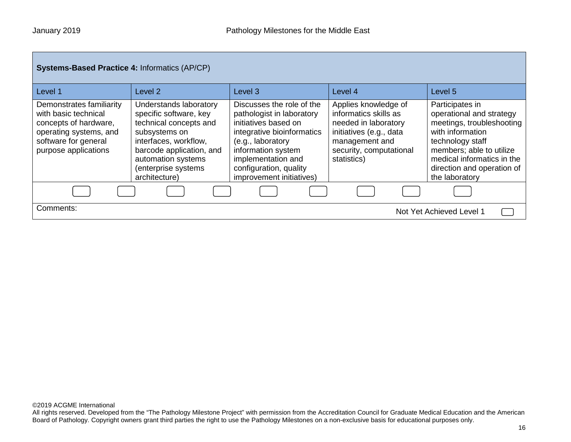| <b>Systems-Based Practice 4: Informatics (AP/CP)</b><br>Level 1                                                                                     | Level 2                                                                                                                                                                                                        | Level <sub>3</sub>                                                                                                                                                                                                                  | Level 4                                                                                                                                                      | Level 5                                                                                                                                                                                                                    |
|-----------------------------------------------------------------------------------------------------------------------------------------------------|----------------------------------------------------------------------------------------------------------------------------------------------------------------------------------------------------------------|-------------------------------------------------------------------------------------------------------------------------------------------------------------------------------------------------------------------------------------|--------------------------------------------------------------------------------------------------------------------------------------------------------------|----------------------------------------------------------------------------------------------------------------------------------------------------------------------------------------------------------------------------|
| Demonstrates familiarity<br>with basic technical<br>concepts of hardware,<br>operating systems, and<br>software for general<br>purpose applications | Understands laboratory<br>specific software, key<br>technical concepts and<br>subsystems on<br>interfaces, workflow,<br>barcode application, and<br>automation systems<br>(enterprise systems<br>architecture) | Discusses the role of the<br>pathologist in laboratory<br>initiatives based on<br>integrative bioinformatics<br>(e.g., laboratory<br>information system<br>implementation and<br>configuration, quality<br>improvement initiatives) | Applies knowledge of<br>informatics skills as<br>needed in laboratory<br>initiatives (e.g., data<br>management and<br>security, computational<br>statistics) | Participates in<br>operational and strategy<br>meetings, troubleshooting<br>with information<br>technology staff<br>members; able to utilize<br>medical informatics in the<br>direction and operation of<br>the laboratory |
|                                                                                                                                                     |                                                                                                                                                                                                                |                                                                                                                                                                                                                                     |                                                                                                                                                              |                                                                                                                                                                                                                            |
| Comments:                                                                                                                                           |                                                                                                                                                                                                                |                                                                                                                                                                                                                                     |                                                                                                                                                              | Not Yet Achieved Level 1                                                                                                                                                                                                   |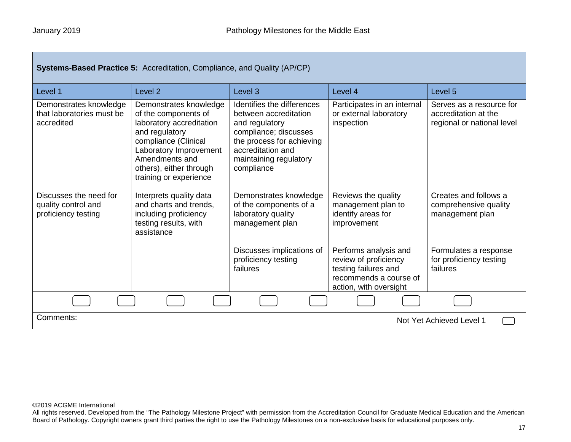| Systems-Based Practice 5: Accreditation, Compliance, and Quality (AP/CP) |                                                                                                                                                                                                                       |                                                                                                                                                                                          |                                                                                                                            |                                                                                |
|--------------------------------------------------------------------------|-----------------------------------------------------------------------------------------------------------------------------------------------------------------------------------------------------------------------|------------------------------------------------------------------------------------------------------------------------------------------------------------------------------------------|----------------------------------------------------------------------------------------------------------------------------|--------------------------------------------------------------------------------|
| Level 1                                                                  | Level <sub>2</sub>                                                                                                                                                                                                    | Level <sub>3</sub>                                                                                                                                                                       | Level 4                                                                                                                    | Level 5                                                                        |
| Demonstrates knowledge<br>that laboratories must be<br>accredited        | Demonstrates knowledge<br>of the components of<br>laboratory accreditation<br>and regulatory<br>compliance (Clinical<br>Laboratory Improvement<br>Amendments and<br>others), either through<br>training or experience | Identifies the differences<br>between accreditation<br>and regulatory<br>compliance; discusses<br>the process for achieving<br>accreditation and<br>maintaining regulatory<br>compliance | Participates in an internal<br>or external laboratory<br>inspection                                                        | Serves as a resource for<br>accreditation at the<br>regional or national level |
| Discusses the need for<br>quality control and<br>proficiency testing     | Interprets quality data<br>and charts and trends.<br>including proficiency<br>testing results, with<br>assistance                                                                                                     | Demonstrates knowledge<br>of the components of a<br>laboratory quality<br>management plan                                                                                                | Reviews the quality<br>management plan to<br>identify areas for<br>improvement                                             | Creates and follows a<br>comprehensive quality<br>management plan              |
|                                                                          |                                                                                                                                                                                                                       | Discusses implications of<br>proficiency testing<br>failures                                                                                                                             | Performs analysis and<br>review of proficiency<br>testing failures and<br>recommends a course of<br>action, with oversight | Formulates a response<br>for proficiency testing<br>failures                   |
|                                                                          |                                                                                                                                                                                                                       |                                                                                                                                                                                          |                                                                                                                            |                                                                                |
| Comments:<br>Not Yet Achieved Level 1                                    |                                                                                                                                                                                                                       |                                                                                                                                                                                          |                                                                                                                            |                                                                                |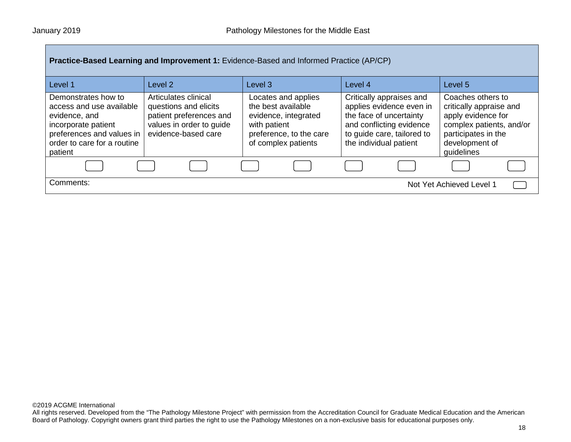| Practice-Based Learning and Improvement 1: Evidence-Based and Informed Practice (AP/CP)                                                                        |                                                                                                                             |                                                                                                                                     |                                                                                                                                                                     |                                                                                                                                                       |  |  |
|----------------------------------------------------------------------------------------------------------------------------------------------------------------|-----------------------------------------------------------------------------------------------------------------------------|-------------------------------------------------------------------------------------------------------------------------------------|---------------------------------------------------------------------------------------------------------------------------------------------------------------------|-------------------------------------------------------------------------------------------------------------------------------------------------------|--|--|
| Level 1                                                                                                                                                        | Level <sub>2</sub>                                                                                                          | Level <sub>3</sub>                                                                                                                  | Level 4                                                                                                                                                             | Level 5                                                                                                                                               |  |  |
| Demonstrates how to<br>access and use available<br>evidence, and<br>incorporate patient<br>preferences and values in<br>order to care for a routine<br>patient | Articulates clinical<br>questions and elicits<br>patient preferences and<br>values in order to guide<br>evidence-based care | Locates and applies<br>the best available<br>evidence, integrated<br>with patient<br>preference, to the care<br>of complex patients | Critically appraises and<br>applies evidence even in<br>the face of uncertainty<br>and conflicting evidence<br>to guide care, tailored to<br>the individual patient | Coaches others to<br>critically appraise and<br>apply evidence for<br>complex patients, and/or<br>participates in the<br>development of<br>guidelines |  |  |
|                                                                                                                                                                |                                                                                                                             |                                                                                                                                     |                                                                                                                                                                     |                                                                                                                                                       |  |  |
| Comments:                                                                                                                                                      | Not Yet Achieved Level 1                                                                                                    |                                                                                                                                     |                                                                                                                                                                     |                                                                                                                                                       |  |  |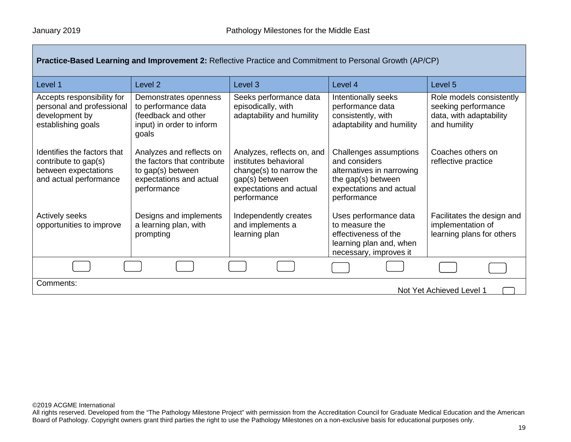| Practice-Based Learning and Improvement 2: Reflective Practice and Commitment to Personal Growth (AP/CP) |                                                                                                                        |                                                                                                                                            |                                                                                                                                      |                                                                                            |
|----------------------------------------------------------------------------------------------------------|------------------------------------------------------------------------------------------------------------------------|--------------------------------------------------------------------------------------------------------------------------------------------|--------------------------------------------------------------------------------------------------------------------------------------|--------------------------------------------------------------------------------------------|
| Level 1                                                                                                  | Level <sub>2</sub>                                                                                                     | Level 3                                                                                                                                    | Level 4                                                                                                                              | Level 5                                                                                    |
| Accepts responsibility for<br>personal and professional<br>development by<br>establishing goals          | Demonstrates openness<br>to performance data<br>(feedback and other<br>input) in order to inform<br>goals              | Seeks performance data<br>episodically, with<br>adaptability and humility                                                                  | Intentionally seeks<br>performance data<br>consistently, with<br>adaptability and humility                                           | Role models consistently<br>seeking performance<br>data, with adaptability<br>and humility |
| Identifies the factors that<br>contribute to gap(s)<br>between expectations<br>and actual performance    | Analyzes and reflects on<br>the factors that contribute<br>to gap(s) between<br>expectations and actual<br>performance | Analyzes, reflects on, and<br>institutes behavioral<br>change(s) to narrow the<br>gap(s) between<br>expectations and actual<br>performance | Challenges assumptions<br>and considers<br>alternatives in narrowing<br>the gap(s) between<br>expectations and actual<br>performance | Coaches others on<br>reflective practice                                                   |
| Actively seeks<br>opportunities to improve                                                               | Designs and implements<br>a learning plan, with<br>prompting                                                           | Independently creates<br>and implements a<br>learning plan                                                                                 | Uses performance data<br>to measure the<br>effectiveness of the<br>learning plan and, when<br>necessary, improves it                 | Facilitates the design and<br>implementation of<br>learning plans for others               |
|                                                                                                          |                                                                                                                        |                                                                                                                                            |                                                                                                                                      |                                                                                            |
| Comments:<br>Not Yet Achieved Level 1                                                                    |                                                                                                                        |                                                                                                                                            |                                                                                                                                      |                                                                                            |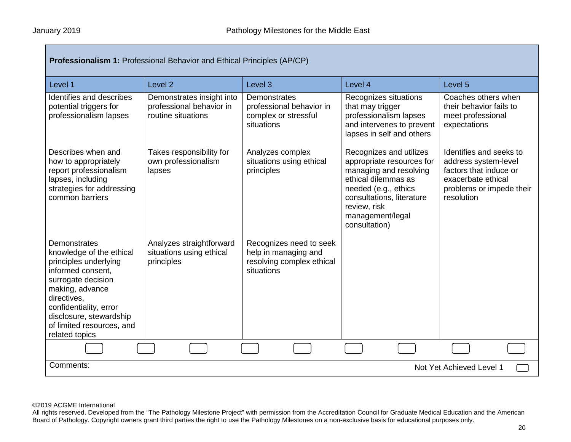| Professionalism 1: Professional Behavior and Ethical Principles (AP/CP)                                                                                                                                                                            |                                                                             |                                                                                            |                                                                                                                                                                                                                 |                                                                                                                                           |  |
|----------------------------------------------------------------------------------------------------------------------------------------------------------------------------------------------------------------------------------------------------|-----------------------------------------------------------------------------|--------------------------------------------------------------------------------------------|-----------------------------------------------------------------------------------------------------------------------------------------------------------------------------------------------------------------|-------------------------------------------------------------------------------------------------------------------------------------------|--|
| Level 1                                                                                                                                                                                                                                            | Level <sub>2</sub>                                                          | Level <sub>3</sub>                                                                         | Level 4                                                                                                                                                                                                         | Level 5                                                                                                                                   |  |
| Identifies and describes<br>potential triggers for<br>professionalism lapses                                                                                                                                                                       | Demonstrates insight into<br>professional behavior in<br>routine situations | Demonstrates<br>professional behavior in<br>complex or stressful<br>situations             | Recognizes situations<br>that may trigger<br>professionalism lapses<br>and intervenes to prevent<br>lapses in self and others                                                                                   | Coaches others when<br>their behavior fails to<br>meet professional<br>expectations                                                       |  |
| Describes when and<br>how to appropriately<br>report professionalism<br>lapses, including<br>strategies for addressing<br>common barriers                                                                                                          | Takes responsibility for<br>own professionalism<br>lapses                   | Analyzes complex<br>situations using ethical<br>principles                                 | Recognizes and utilizes<br>appropriate resources for<br>managing and resolving<br>ethical dilemmas as<br>needed (e.g., ethics<br>consultations, literature<br>review, risk<br>management/legal<br>consultation) | Identifies and seeks to<br>address system-level<br>factors that induce or<br>exacerbate ethical<br>problems or impede their<br>resolution |  |
| Demonstrates<br>knowledge of the ethical<br>principles underlying<br>informed consent,<br>surrogate decision<br>making, advance<br>directives,<br>confidentiality, error<br>disclosure, stewardship<br>of limited resources, and<br>related topics | Analyzes straightforward<br>situations using ethical<br>principles          | Recognizes need to seek<br>help in managing and<br>resolving complex ethical<br>situations |                                                                                                                                                                                                                 |                                                                                                                                           |  |
|                                                                                                                                                                                                                                                    |                                                                             |                                                                                            |                                                                                                                                                                                                                 |                                                                                                                                           |  |
| Comments:<br>Not Yet Achieved Level 1                                                                                                                                                                                                              |                                                                             |                                                                                            |                                                                                                                                                                                                                 |                                                                                                                                           |  |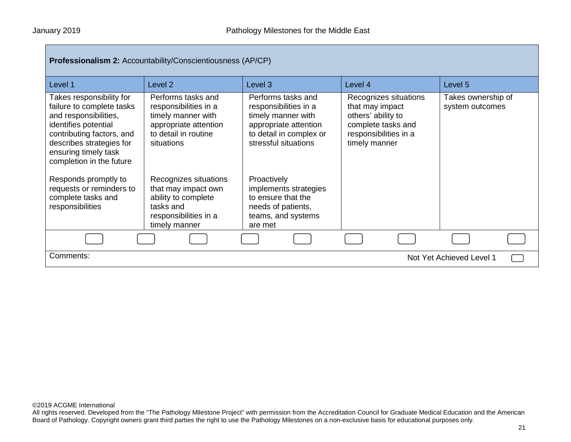| <b>Professionalism 2: Accountability/Conscientiousness (AP/CP)</b>                                                                                                                                                                                                                                                |                                                                                                                                                                                                                                               |                                                                                                                                                                                                                                                         |                                                                                                                                |                                       |  |
|-------------------------------------------------------------------------------------------------------------------------------------------------------------------------------------------------------------------------------------------------------------------------------------------------------------------|-----------------------------------------------------------------------------------------------------------------------------------------------------------------------------------------------------------------------------------------------|---------------------------------------------------------------------------------------------------------------------------------------------------------------------------------------------------------------------------------------------------------|--------------------------------------------------------------------------------------------------------------------------------|---------------------------------------|--|
| Level 1                                                                                                                                                                                                                                                                                                           | Level <sub>2</sub>                                                                                                                                                                                                                            | Level <sub>3</sub>                                                                                                                                                                                                                                      | Level 4                                                                                                                        | Level 5                               |  |
| Takes responsibility for<br>failure to complete tasks<br>and responsibilities,<br>identifies potential<br>contributing factors, and<br>describes strategies for<br>ensuring timely task<br>completion in the future<br>Responds promptly to<br>requests or reminders to<br>complete tasks and<br>responsibilities | Performs tasks and<br>responsibilities in a<br>timely manner with<br>appropriate attention<br>to detail in routine<br>situations<br>Recognizes situations<br>that may impact own<br>ability to complete<br>tasks and<br>responsibilities in a | Performs tasks and<br>responsibilities in a<br>timely manner with<br>appropriate attention<br>to detail in complex or<br>stressful situations<br>Proactively<br>implements strategies<br>to ensure that the<br>needs of patients,<br>teams, and systems | Recognizes situations<br>that may impact<br>others' ability to<br>complete tasks and<br>responsibilities in a<br>timely manner | Takes ownership of<br>system outcomes |  |
|                                                                                                                                                                                                                                                                                                                   | timely manner                                                                                                                                                                                                                                 | are met                                                                                                                                                                                                                                                 |                                                                                                                                |                                       |  |
|                                                                                                                                                                                                                                                                                                                   |                                                                                                                                                                                                                                               |                                                                                                                                                                                                                                                         |                                                                                                                                |                                       |  |
| Comments:<br>Not Yet Achieved Level 1                                                                                                                                                                                                                                                                             |                                                                                                                                                                                                                                               |                                                                                                                                                                                                                                                         |                                                                                                                                |                                       |  |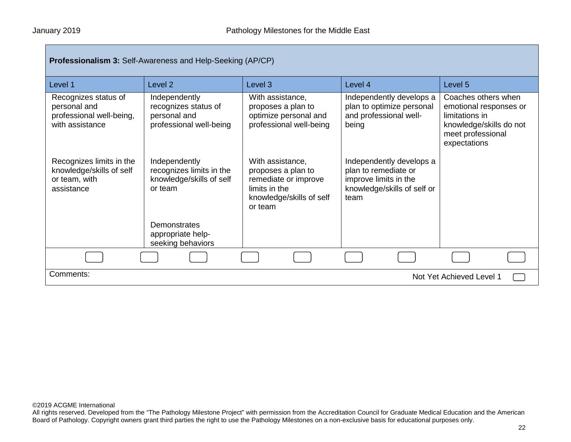| Professionalism 3: Self-Awareness and Help-Seeking (AP/CP)                          |                                                                                                  |                                                                                                                        |                                                                                                                  |                                                                                                                                 |  |
|-------------------------------------------------------------------------------------|--------------------------------------------------------------------------------------------------|------------------------------------------------------------------------------------------------------------------------|------------------------------------------------------------------------------------------------------------------|---------------------------------------------------------------------------------------------------------------------------------|--|
| Level 1                                                                             | Level <sub>2</sub>                                                                               | Level 3                                                                                                                | Level 4                                                                                                          | Level 5                                                                                                                         |  |
| Recognizes status of<br>personal and<br>professional well-being,<br>with assistance | Independently<br>recognizes status of<br>personal and<br>professional well-being                 | With assistance,<br>proposes a plan to<br>optimize personal and<br>professional well-being                             | Independently develops a<br>plan to optimize personal<br>and professional well-<br>being                         | Coaches others when<br>emotional responses or<br>limitations in<br>knowledge/skills do not<br>meet professional<br>expectations |  |
| Recognizes limits in the<br>knowledge/skills of self<br>or team, with<br>assistance | Independently<br>recognizes limits in the<br>knowledge/skills of self<br>or team<br>Demonstrates | With assistance,<br>proposes a plan to<br>remediate or improve<br>limits in the<br>knowledge/skills of self<br>or team | Independently develops a<br>plan to remediate or<br>improve limits in the<br>knowledge/skills of self or<br>team |                                                                                                                                 |  |
|                                                                                     | appropriate help-<br>seeking behaviors                                                           |                                                                                                                        |                                                                                                                  |                                                                                                                                 |  |
|                                                                                     |                                                                                                  |                                                                                                                        |                                                                                                                  |                                                                                                                                 |  |
| Comments:<br>Not Yet Achieved Level 1                                               |                                                                                                  |                                                                                                                        |                                                                                                                  |                                                                                                                                 |  |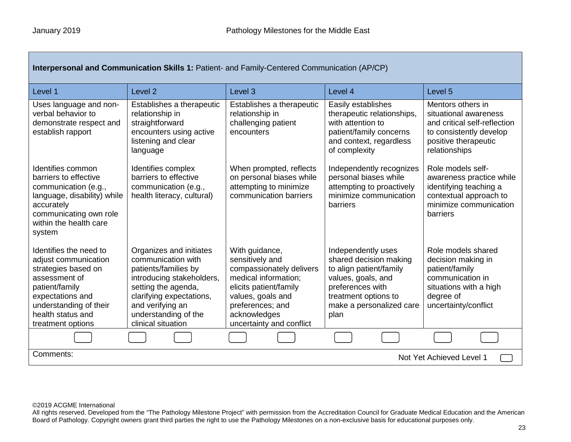| Interpersonal and Communication Skills 1: Patient- and Family-Centered Communication (AP/CP)                                                                                                     |                                                                                                                                                                                                                         |                                                                                                                                                                                                      |                                                                                                                                                                               |                                                                                                                                                |
|--------------------------------------------------------------------------------------------------------------------------------------------------------------------------------------------------|-------------------------------------------------------------------------------------------------------------------------------------------------------------------------------------------------------------------------|------------------------------------------------------------------------------------------------------------------------------------------------------------------------------------------------------|-------------------------------------------------------------------------------------------------------------------------------------------------------------------------------|------------------------------------------------------------------------------------------------------------------------------------------------|
| Level 1                                                                                                                                                                                          | Level <sub>2</sub>                                                                                                                                                                                                      | Level <sub>3</sub>                                                                                                                                                                                   | Level 4                                                                                                                                                                       | Level 5                                                                                                                                        |
| Uses language and non-<br>verbal behavior to<br>demonstrate respect and<br>establish rapport                                                                                                     | Establishes a therapeutic<br>relationship in<br>straightforward<br>encounters using active<br>listening and clear<br>language                                                                                           | Establishes a therapeutic<br>relationship in<br>challenging patient<br>encounters                                                                                                                    | Easily establishes<br>therapeutic relationships,<br>with attention to<br>patient/family concerns<br>and context, regardless<br>of complexity                                  | Mentors others in<br>situational awareness<br>and critical self-reflection<br>to consistently develop<br>positive therapeutic<br>relationships |
| Identifies common<br>barriers to effective<br>communication (e.g.,<br>language, disability) while<br>accurately<br>communicating own role<br>within the health care<br>system                    | Identifies complex<br>barriers to effective<br>communication (e.g.,<br>health literacy, cultural)                                                                                                                       | When prompted, reflects<br>on personal biases while<br>attempting to minimize<br>communication barriers                                                                                              | Independently recognizes<br>personal biases while<br>attempting to proactively<br>minimize communication<br>barriers                                                          | Role models self-<br>awareness practice while<br>identifying teaching a<br>contextual approach to<br>minimize communication<br><b>barriers</b> |
| Identifies the need to<br>adjust communication<br>strategies based on<br>assessment of<br>patient/family<br>expectations and<br>understanding of their<br>health status and<br>treatment options | Organizes and initiates<br>communication with<br>patients/families by<br>introducing stakeholders,<br>setting the agenda,<br>clarifying expectations,<br>and verifying an<br>understanding of the<br>clinical situation | With guidance,<br>sensitively and<br>compassionately delivers<br>medical information;<br>elicits patient/family<br>values, goals and<br>preferences; and<br>acknowledges<br>uncertainty and conflict | Independently uses<br>shared decision making<br>to align patient/family<br>values, goals, and<br>preferences with<br>treatment options to<br>make a personalized care<br>plan | Role models shared<br>decision making in<br>patient/family<br>communication in<br>situations with a high<br>degree of<br>uncertainty/conflict  |
|                                                                                                                                                                                                  |                                                                                                                                                                                                                         |                                                                                                                                                                                                      |                                                                                                                                                                               |                                                                                                                                                |
| Comments:<br>Not Yet Achieved Level 1                                                                                                                                                            |                                                                                                                                                                                                                         |                                                                                                                                                                                                      |                                                                                                                                                                               |                                                                                                                                                |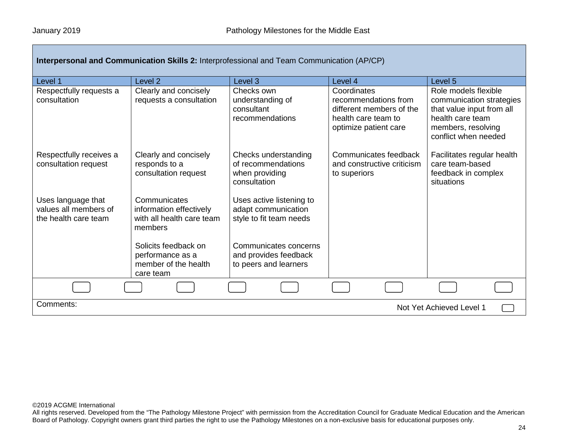| Interpersonal and Communication Skills 2: Interprofessional and Team Communication (AP/CP) |                                                                                 |                                                                              |                                                                                                                 |                                                                                                                                                 |
|--------------------------------------------------------------------------------------------|---------------------------------------------------------------------------------|------------------------------------------------------------------------------|-----------------------------------------------------------------------------------------------------------------|-------------------------------------------------------------------------------------------------------------------------------------------------|
| Level 1                                                                                    | Level <sub>2</sub>                                                              | Level 3                                                                      | Level 4                                                                                                         | Level 5                                                                                                                                         |
| Respectfully requests a<br>consultation                                                    | Clearly and concisely<br>requests a consultation                                | Checks own<br>understanding of<br>consultant<br>recommendations              | Coordinates<br>recommendations from<br>different members of the<br>health care team to<br>optimize patient care | Role models flexible<br>communication strategies<br>that value input from all<br>health care team<br>members, resolving<br>conflict when needed |
| Respectfully receives a<br>consultation request                                            | Clearly and concisely<br>responds to a<br>consultation request                  | Checks understanding<br>of recommendations<br>when providing<br>consultation | Communicates feedback<br>and constructive criticism<br>to superiors                                             | Facilitates regular health<br>care team-based<br>feedback in complex<br>situations                                                              |
| Uses language that<br>values all members of<br>the health care team                        | Communicates<br>information effectively<br>with all health care team<br>members | Uses active listening to<br>adapt communication<br>style to fit team needs   |                                                                                                                 |                                                                                                                                                 |
|                                                                                            | Solicits feedback on<br>performance as a<br>member of the health<br>care team   | Communicates concerns<br>and provides feedback<br>to peers and learners      |                                                                                                                 |                                                                                                                                                 |
|                                                                                            |                                                                                 |                                                                              |                                                                                                                 |                                                                                                                                                 |
| Comments:<br>Not Yet Achieved Level 1                                                      |                                                                                 |                                                                              |                                                                                                                 |                                                                                                                                                 |